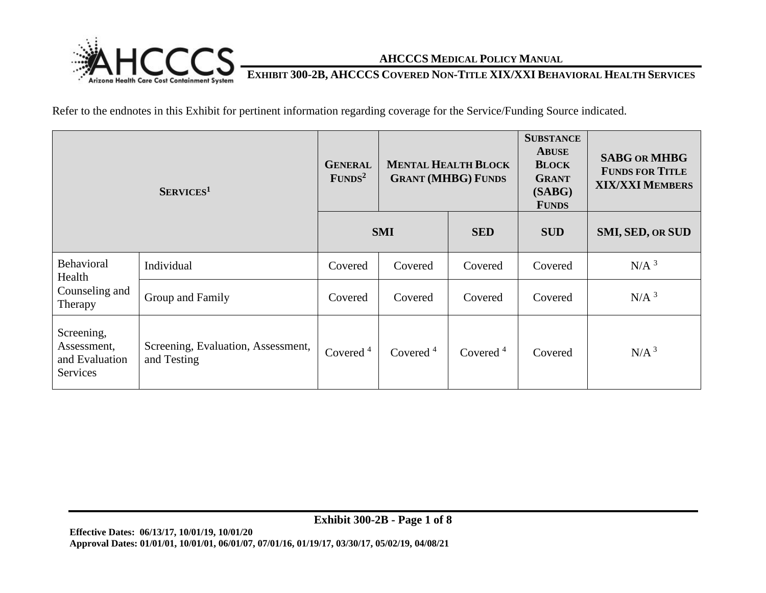

### **EXHIBIT 300-2B, AHCCCS COVERED NON-TITLE XIX/XXI BEHAVIORAL HEALTH SERVICES**

Refer to the endnotes in this Exhibit for pertinent information regarding coverage for the Service/Funding Source indicated.

| $S_{ERVICES}$ <sup>1</sup>                              |                                                   | <b>GENERAL</b><br>FUNDS <sup>2</sup> | <b>MENTAL HEALTH BLOCK</b><br><b>GRANT (MHBG) FUNDS</b> |             | <b>SUBSTANCE</b><br><b>ABUSE</b><br><b>BLOCK</b><br><b>GRANT</b><br>(SABG)<br><b>FUNDS</b> | <b>SABG OR MHBG</b><br><b>FUNDS FOR TITLE</b><br><b>XIX/XXI MEMBERS</b> |
|---------------------------------------------------------|---------------------------------------------------|--------------------------------------|---------------------------------------------------------|-------------|--------------------------------------------------------------------------------------------|-------------------------------------------------------------------------|
|                                                         |                                                   | <b>SMI</b>                           |                                                         | <b>SED</b>  | <b>SUD</b>                                                                                 | <b>SMI, SED, OR SUD</b>                                                 |
| <b>Behavioral</b><br>Health                             | Individual                                        | Covered                              | Covered                                                 | Covered     | Covered                                                                                    | N/A <sup>3</sup>                                                        |
| Counseling and<br>Therapy                               | Group and Family                                  | Covered                              | Covered                                                 | Covered     | Covered                                                                                    | N/A <sup>3</sup>                                                        |
| Screening,<br>Assessment,<br>and Evaluation<br>Services | Screening, Evaluation, Assessment,<br>and Testing | Covered $4$                          | Covered $4$                                             | Covered $4$ | Covered                                                                                    | N/A <sup>3</sup>                                                        |

**Exhibit 300-2B - Page 1 of 8**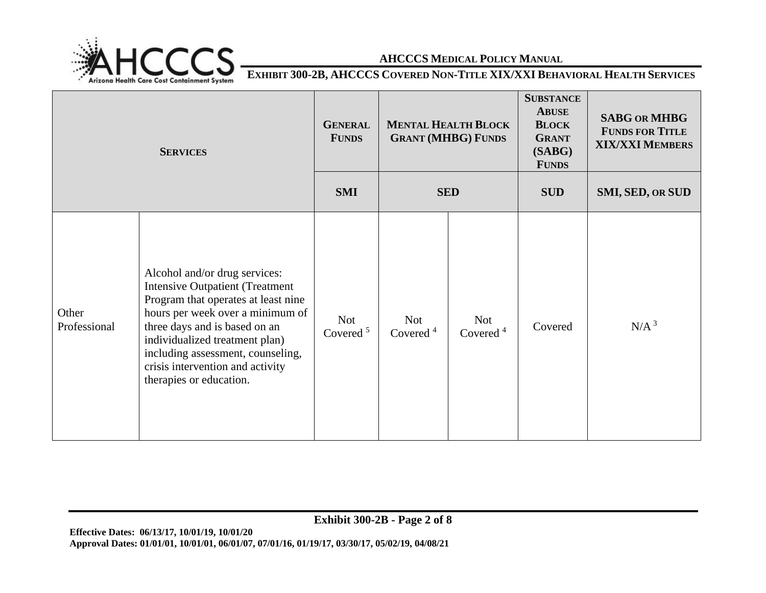

**EXHIBIT 300-2B, AHCCCS COVERED NON-TITLE XIX/XXI BEHAVIORAL HEALTH SERVICES** 

| <b>SERVICES</b>       |                                                                                                                                                                                                                                                                                                                           | <b>GENERAL</b><br><b>FUNDS</b> | <b>MENTAL HEALTH BLOCK</b><br><b>GRANT (MHBG) FUNDS</b> |                           | <b>SUBSTANCE</b><br><b>ABUSE</b><br><b>BLOCK</b><br><b>GRANT</b><br>(SABG)<br><b>FUNDS</b> | <b>SABG OR MHBG</b><br><b>FUNDS FOR TITLE</b><br><b>XIX/XXI MEMBERS</b> |
|-----------------------|---------------------------------------------------------------------------------------------------------------------------------------------------------------------------------------------------------------------------------------------------------------------------------------------------------------------------|--------------------------------|---------------------------------------------------------|---------------------------|--------------------------------------------------------------------------------------------|-------------------------------------------------------------------------|
|                       |                                                                                                                                                                                                                                                                                                                           | <b>SMI</b>                     | <b>SED</b>                                              |                           | <b>SUD</b>                                                                                 | SMI, SED, OR SUD                                                        |
| Other<br>Professional | Alcohol and/or drug services:<br><b>Intensive Outpatient (Treatment</b><br>Program that operates at least nine<br>hours per week over a minimum of<br>three days and is based on an<br>individualized treatment plan)<br>including assessment, counseling,<br>crisis intervention and activity<br>therapies or education. | <b>Not</b><br>Covered $5$      | <b>Not</b><br>Covered $4$                               | <b>Not</b><br>Covered $4$ | Covered                                                                                    | N/A <sup>3</sup>                                                        |

**Exhibit 300-2B - Page 2 of 8**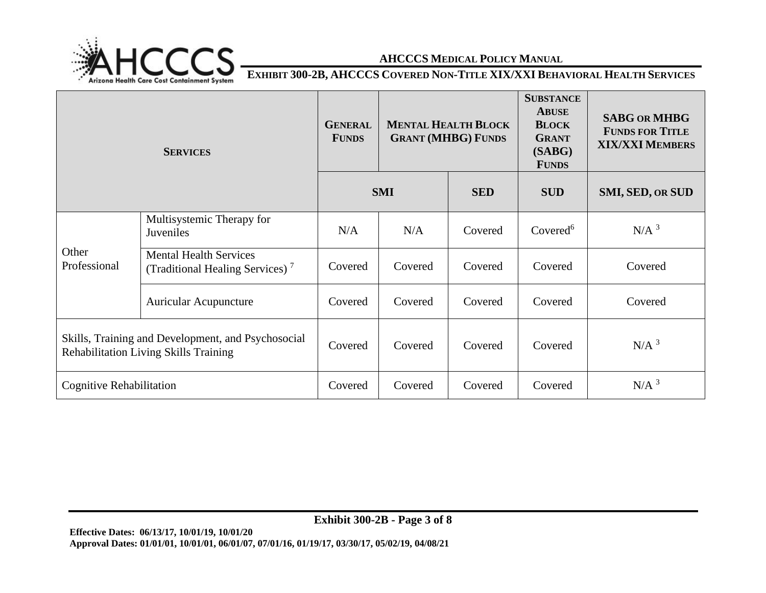

**EXHIBIT 300-2B, AHCCCS COVERED NON-TITLE XIX/XXI BEHAVIORAL HEALTH SERVICES** 

| <b>SERVICES</b>                                                                                    |                                                                              | <b>GENERAL</b><br><b>FUNDS</b> | <b>MENTAL HEALTH BLOCK</b><br><b>GRANT (MHBG) FUNDS</b> |            | <b>SUBSTANCE</b><br><b>ABUSE</b><br><b>BLOCK</b><br><b>GRANT</b><br>(SABG)<br><b>FUNDS</b> | <b>SABG OR MHBG</b><br><b>FUNDS FOR TITLE</b><br><b>XIX/XXI MEMBERS</b> |
|----------------------------------------------------------------------------------------------------|------------------------------------------------------------------------------|--------------------------------|---------------------------------------------------------|------------|--------------------------------------------------------------------------------------------|-------------------------------------------------------------------------|
|                                                                                                    |                                                                              | <b>SMI</b>                     |                                                         | <b>SED</b> | <b>SUD</b>                                                                                 | SMI, SED, OR SUD                                                        |
| Other<br>Professional                                                                              | Multisystemic Therapy for<br>Juveniles                                       | N/A                            | N/A                                                     | Covered    | Covered <sup>6</sup>                                                                       | $N/A$ <sup>3</sup>                                                      |
|                                                                                                    | <b>Mental Health Services</b><br>(Traditional Healing Services) <sup>7</sup> | Covered                        | Covered                                                 | Covered    | Covered                                                                                    | Covered                                                                 |
|                                                                                                    | <b>Auricular Acupuncture</b>                                                 | Covered                        | Covered                                                 | Covered    | Covered                                                                                    | Covered                                                                 |
| Skills, Training and Development, and Psychosocial<br><b>Rehabilitation Living Skills Training</b> |                                                                              | Covered                        | Covered                                                 | Covered    | Covered                                                                                    | $N/A$ <sup>3</sup>                                                      |
| Cognitive Rehabilitation                                                                           |                                                                              | Covered                        | Covered                                                 | Covered    | Covered                                                                                    | N/A <sup>3</sup>                                                        |

**Exhibit 300-2B - Page 3 of 8**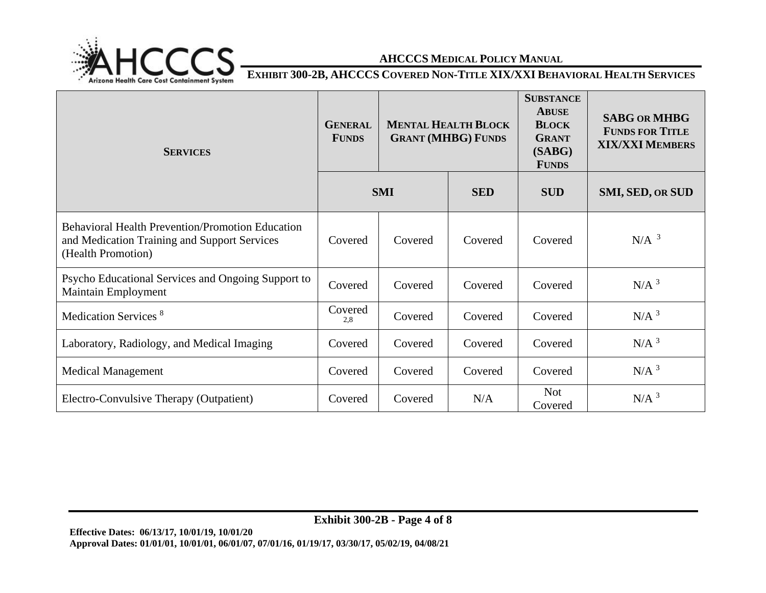

**EXHIBIT 300-2B, AHCCCS COVERED NON-TITLE XIX/XXI BEHAVIORAL HEALTH SERVICES** 

| <b>SERVICES</b>                                                                                                               | <b>GENERAL</b><br><b>FUNDS</b> | <b>MENTAL HEALTH BLOCK</b><br><b>GRANT (MHBG) FUNDS</b> |            | <b>SUBSTANCE</b><br><b>ABUSE</b><br><b>BLOCK</b><br><b>GRANT</b><br>(SABG)<br><b>FUNDS</b> | <b>SABG OR MHBG</b><br><b>FUNDS FOR TITLE</b><br><b>XIX/XXI MEMBERS</b> |
|-------------------------------------------------------------------------------------------------------------------------------|--------------------------------|---------------------------------------------------------|------------|--------------------------------------------------------------------------------------------|-------------------------------------------------------------------------|
|                                                                                                                               | <b>SMI</b>                     |                                                         | <b>SED</b> | <b>SUD</b>                                                                                 | <b>SMI, SED, OR SUD</b>                                                 |
| <b>Behavioral Health Prevention/Promotion Education</b><br>and Medication Training and Support Services<br>(Health Promotion) | Covered                        | Covered                                                 | Covered    | Covered                                                                                    | $N/A$ <sup>3</sup>                                                      |
| Psycho Educational Services and Ongoing Support to<br><b>Maintain Employment</b>                                              | Covered                        | Covered                                                 | Covered    | Covered                                                                                    | N/A <sup>3</sup>                                                        |
| Medication Services <sup>8</sup>                                                                                              | Covered<br>2,8                 | Covered                                                 | Covered    | Covered                                                                                    | $N/A$ <sup>3</sup>                                                      |
| Laboratory, Radiology, and Medical Imaging                                                                                    | Covered                        | Covered                                                 | Covered    | Covered                                                                                    | $N/A$ <sup>3</sup>                                                      |
| <b>Medical Management</b>                                                                                                     | Covered                        | Covered                                                 | Covered    | Covered                                                                                    | N/A <sup>3</sup>                                                        |
| Electro-Convulsive Therapy (Outpatient)                                                                                       | Covered                        | Covered                                                 | N/A        | <b>Not</b><br>Covered                                                                      | $N/A$ <sup>3</sup>                                                      |

**Exhibit 300-2B - Page 4 of 8**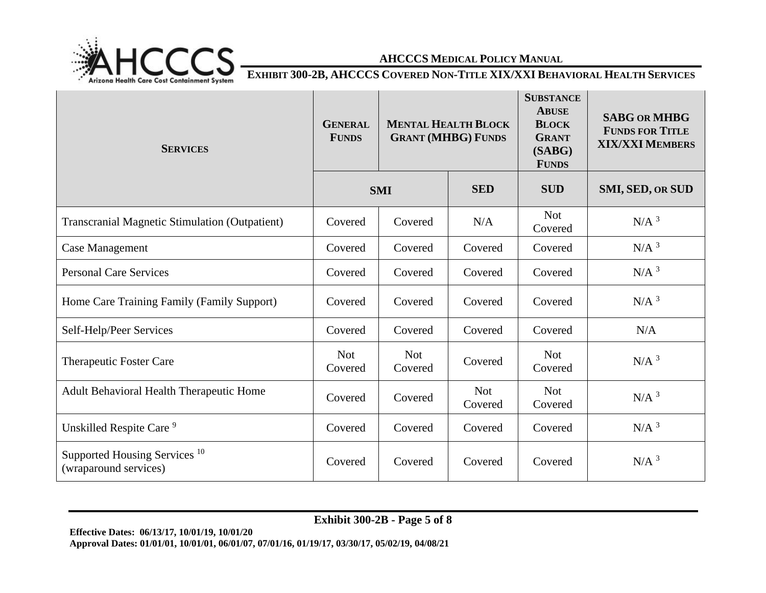

**EXHIBIT 300-2B, AHCCCS COVERED NON-TITLE XIX/XXI BEHAVIORAL HEALTH SERVICES** 

| <b>SERVICES</b>                                                   | <b>GENERAL</b><br><b>FUNDS</b> | <b>MENTAL HEALTH BLOCK</b><br><b>GRANT (MHBG) FUNDS</b> |                       | <b>SUBSTANCE</b><br><b>ABUSE</b><br><b>BLOCK</b><br><b>GRANT</b><br>(SABG)<br><b>FUNDS</b> | <b>SABG OR MHBG</b><br><b>FUNDS FOR TITLE</b><br><b>XIX/XXI MEMBERS</b> |
|-------------------------------------------------------------------|--------------------------------|---------------------------------------------------------|-----------------------|--------------------------------------------------------------------------------------------|-------------------------------------------------------------------------|
|                                                                   | <b>SMI</b>                     |                                                         | <b>SED</b>            | <b>SUD</b>                                                                                 | <b>SMI, SED, OR SUD</b>                                                 |
| <b>Transcranial Magnetic Stimulation (Outpatient)</b>             | Covered                        | Covered                                                 | N/A                   | <b>Not</b><br>Covered                                                                      | N/A <sup>3</sup>                                                        |
| <b>Case Management</b>                                            | Covered                        | Covered                                                 | Covered               | Covered                                                                                    | N/A <sup>3</sup>                                                        |
| <b>Personal Care Services</b>                                     | Covered                        | Covered                                                 | Covered               | Covered                                                                                    | $N/A$ <sup>3</sup>                                                      |
| Home Care Training Family (Family Support)                        | Covered                        | Covered                                                 | Covered               | Covered                                                                                    | N/A <sup>3</sup>                                                        |
| Self-Help/Peer Services                                           | Covered                        | Covered                                                 | Covered               | Covered                                                                                    | N/A                                                                     |
| Therapeutic Foster Care                                           | <b>Not</b><br>Covered          | <b>Not</b><br>Covered                                   | Covered               | <b>Not</b><br>Covered                                                                      | N/A <sup>3</sup>                                                        |
| Adult Behavioral Health Therapeutic Home                          | Covered                        | Covered                                                 | <b>Not</b><br>Covered | <b>Not</b><br>Covered                                                                      | N/A <sup>3</sup>                                                        |
| Unskilled Respite Care <sup>9</sup>                               | Covered                        | Covered                                                 | Covered               | Covered                                                                                    | $N/A$ <sup>3</sup>                                                      |
| Supported Housing Services <sup>10</sup><br>(wraparound services) | Covered                        | Covered                                                 | Covered               | Covered                                                                                    | N/A <sup>3</sup>                                                        |

**Exhibit 300-2B - Page 5 of 8**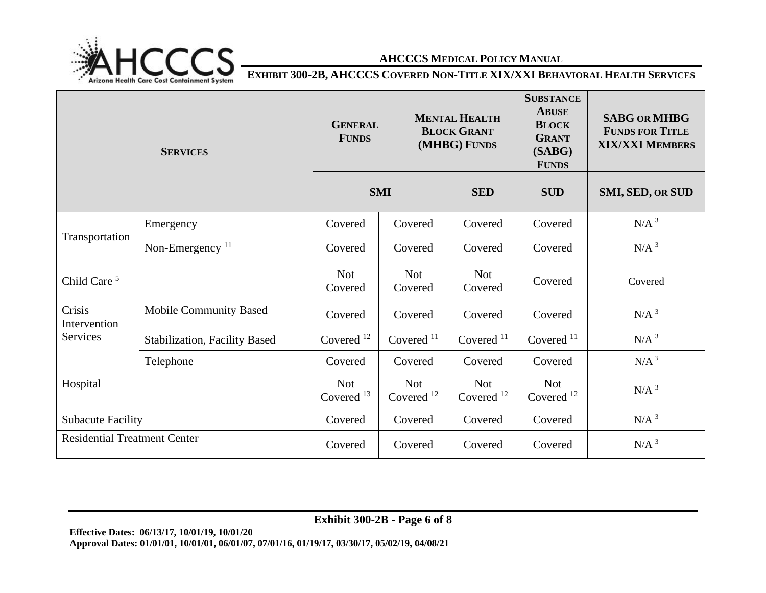

**EXHIBIT 300-2B, AHCCCS COVERED NON-TITLE XIX/XXI BEHAVIORAL HEALTH SERVICES** 

| <b>SERVICES</b>                     |                                      | <b>GENERAL</b><br><b>FUNDS</b>      |                                     | <b>MENTAL HEALTH</b><br><b>BLOCK GRANT</b><br>(MHBG) FUNDS | <b>SUBSTANCE</b><br><b>ABUSE</b><br><b>BLOCK</b><br><b>GRANT</b><br>(SABG)<br><b>FUNDS</b> | <b>SABG OR MHBG</b><br><b>FUNDS FOR TITLE</b><br><b>XIX/XXI MEMBERS</b> |
|-------------------------------------|--------------------------------------|-------------------------------------|-------------------------------------|------------------------------------------------------------|--------------------------------------------------------------------------------------------|-------------------------------------------------------------------------|
|                                     |                                      | <b>SMI</b>                          |                                     | <b>SED</b>                                                 | <b>SUD</b>                                                                                 | SMI, SED, OR SUD                                                        |
| Transportation                      | Emergency                            | Covered                             | Covered                             | Covered                                                    | Covered                                                                                    | $N/A$ <sup>3</sup>                                                      |
|                                     | Non-Emergency <sup>11</sup>          | Covered                             | Covered                             | Covered                                                    | Covered                                                                                    | $N/A$ <sup>3</sup>                                                      |
| Child Care <sup>5</sup>             |                                      | <b>Not</b><br>Covered               | <b>Not</b><br>Covered               | <b>Not</b><br>Covered                                      | Covered                                                                                    | Covered                                                                 |
| Crisis<br>Intervention              | <b>Mobile Community Based</b>        | Covered                             | Covered                             | Covered                                                    | Covered                                                                                    | $N/A$ <sup>3</sup>                                                      |
| Services                            | <b>Stabilization, Facility Based</b> | Covered <sup>12</sup>               | Covered $11$                        | Covered <sup>11</sup>                                      | Covered $11$                                                                               | $N/A$ <sup>3</sup>                                                      |
|                                     | Telephone                            | Covered                             | Covered                             | Covered                                                    | Covered                                                                                    | N/A <sup>3</sup>                                                        |
| Hospital                            |                                      | <b>Not</b><br>Covered <sup>13</sup> | <b>Not</b><br>Covered <sup>12</sup> | <b>Not</b><br>Covered <sup>12</sup>                        | <b>Not</b><br>Covered $12$                                                                 | $N/A$ <sup>3</sup>                                                      |
| <b>Subacute Facility</b>            |                                      | Covered                             | Covered                             | Covered                                                    | Covered                                                                                    | $N/A$ <sup>3</sup>                                                      |
| <b>Residential Treatment Center</b> |                                      | Covered                             | Covered                             | Covered                                                    | Covered                                                                                    | $N/A$ <sup>3</sup>                                                      |

**Exhibit 300-2B - Page 6 of 8**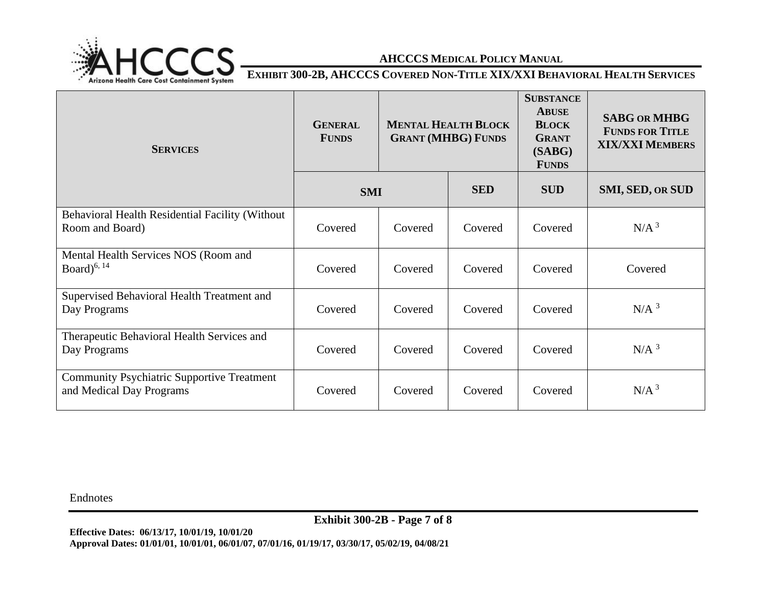

**EXHIBIT 300-2B, AHCCCS COVERED NON-TITLE XIX/XXI BEHAVIORAL HEALTH SERVICES** 

| <b>SERVICES</b>                                                               | <b>GENERAL</b><br><b>FUNDS</b> | <b>MENTAL HEALTH BLOCK</b><br><b>GRANT (MHBG) FUNDS</b> |            | <b>SUBSTANCE</b><br><b>ABUSE</b><br><b>BLOCK</b><br><b>GRANT</b><br>(SABG)<br><b>FUNDS</b> | <b>SABG OR MHBG</b><br><b>FUNDS FOR TITLE</b><br><b>XIX/XXI MEMBERS</b> |
|-------------------------------------------------------------------------------|--------------------------------|---------------------------------------------------------|------------|--------------------------------------------------------------------------------------------|-------------------------------------------------------------------------|
|                                                                               | <b>SMI</b>                     |                                                         | <b>SED</b> | <b>SUD</b>                                                                                 | <b>SMI, SED, OR SUD</b>                                                 |
| Behavioral Health Residential Facility (Without<br>Room and Board)            | Covered                        | Covered                                                 | Covered    | Covered                                                                                    | N/A <sup>3</sup>                                                        |
| Mental Health Services NOS (Room and<br>Board $)^{6, 14}$                     | Covered                        | Covered                                                 | Covered    | Covered                                                                                    | Covered                                                                 |
| Supervised Behavioral Health Treatment and<br>Day Programs                    | Covered                        | Covered                                                 | Covered    | Covered                                                                                    | $N/A$ <sup>3</sup>                                                      |
| Therapeutic Behavioral Health Services and<br>Day Programs                    | Covered                        | Covered                                                 | Covered    | Covered                                                                                    | N/A <sup>3</sup>                                                        |
| <b>Community Psychiatric Supportive Treatment</b><br>and Medical Day Programs | Covered                        | Covered                                                 | Covered    | Covered                                                                                    | N/A <sup>3</sup>                                                        |

Endnotes

**Exhibit 300-2B - Page 7 of 8**